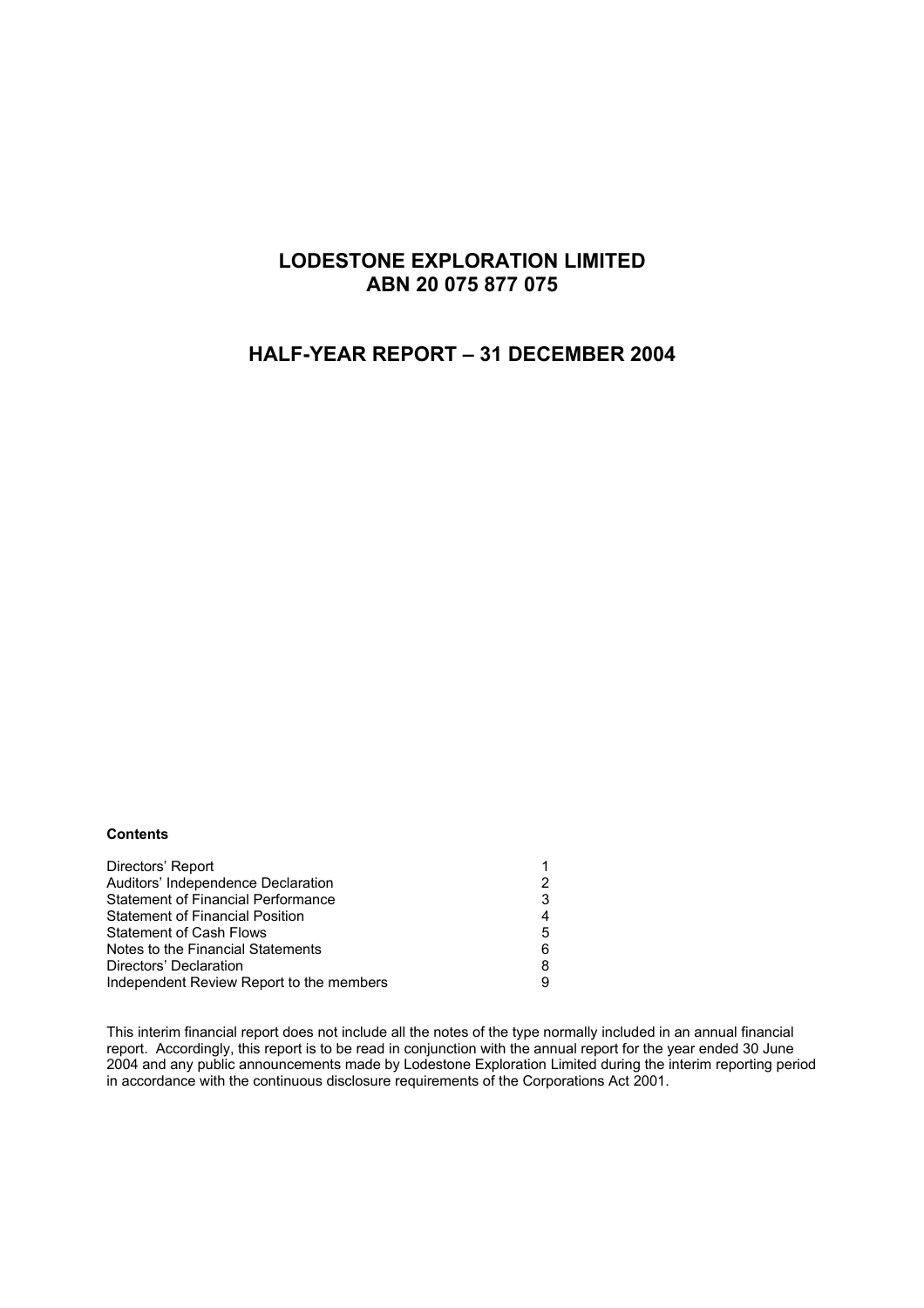# **LODESTONE EXPLORATION LIMITED ABN 20 075 877 075**

# **HALF-YEAR REPORT – 31 DECEMBER 2004**

#### **Contents**

| Directors' Report                         |   |
|-------------------------------------------|---|
| Auditors' Independence Declaration        |   |
| <b>Statement of Financial Performance</b> |   |
| <b>Statement of Financial Position</b>    |   |
| <b>Statement of Cash Flows</b>            | 5 |
| Notes to the Financial Statements         | 6 |
| Directors' Declaration                    |   |
| Independent Review Report to the members  |   |
|                                           |   |

This interim financial report does not include all the notes of the type normally included in an annual financial report. Accordingly, this report is to be read in conjunction with the annual report for the year ended 30 June 2004 and any public announcements made by Lodestone Exploration Limited during the interim reporting period in accordance with the continuous disclosure requirements of the Corporations Act 2001.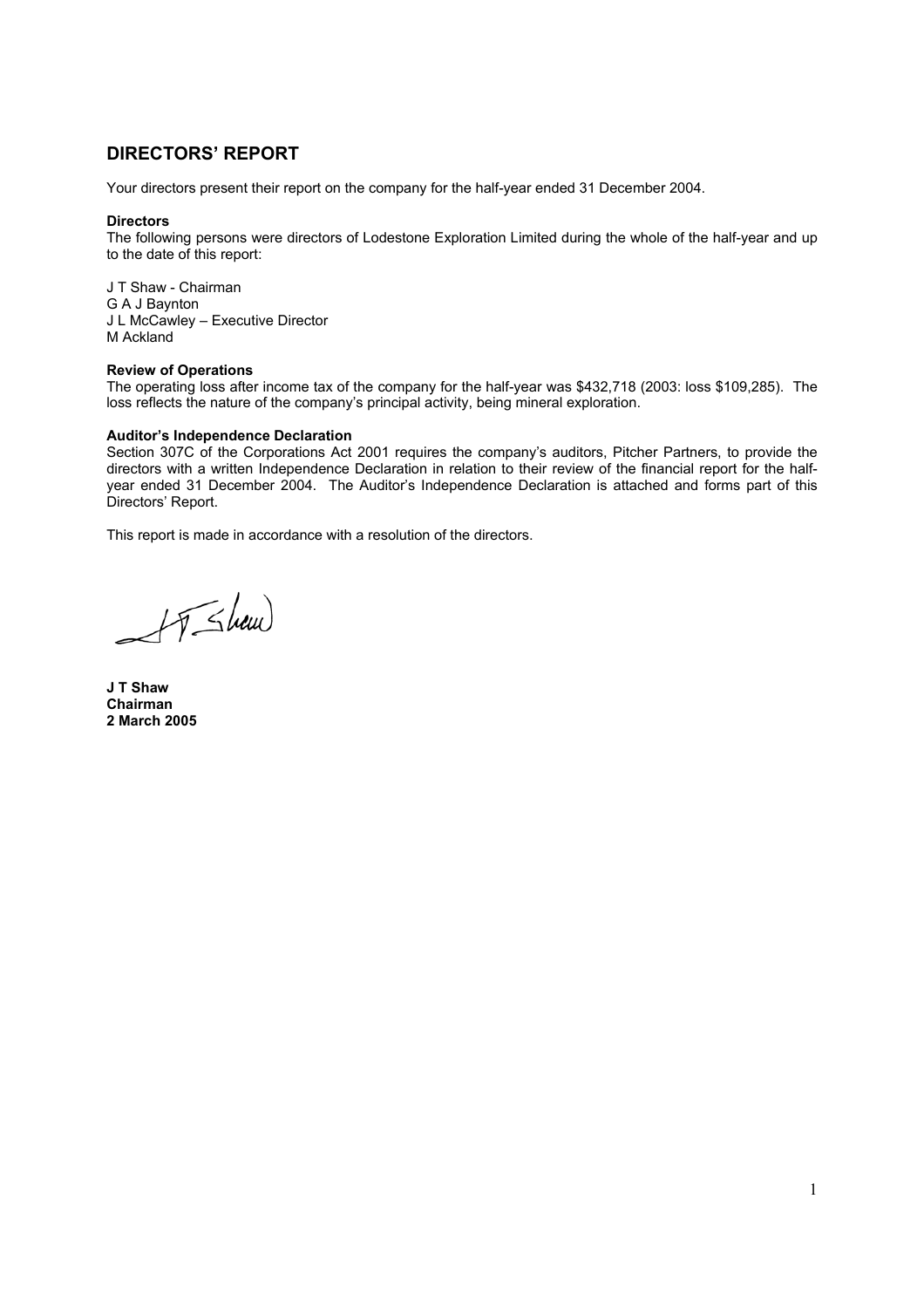# **DIRECTORS' REPORT**

Your directors present their report on the company for the half-year ended 31 December 2004.

#### **Directors**

The following persons were directors of Lodestone Exploration Limited during the whole of the half-year and up to the date of this report:

J T Shaw - Chairman G A J Baynton J L McCawley – Executive Director M Ackland

#### **Review of Operations**

The operating loss after income tax of the company for the half-year was \$432,718 (2003: loss \$109,285). The loss reflects the nature of the company's principal activity, being mineral exploration.

#### **Auditor's Independence Declaration**

Section 307C of the Corporations Act 2001 requires the company's auditors, Pitcher Partners, to provide the directors with a written Independence Declaration in relation to their review of the financial report for the halfyear ended 31 December 2004. The Auditor's Independence Declaration is attached and forms part of this Directors' Report.

This report is made in accordance with a resolution of the directors.

 $H$ Shaw

**J T Shaw Chairman 2 March 2005**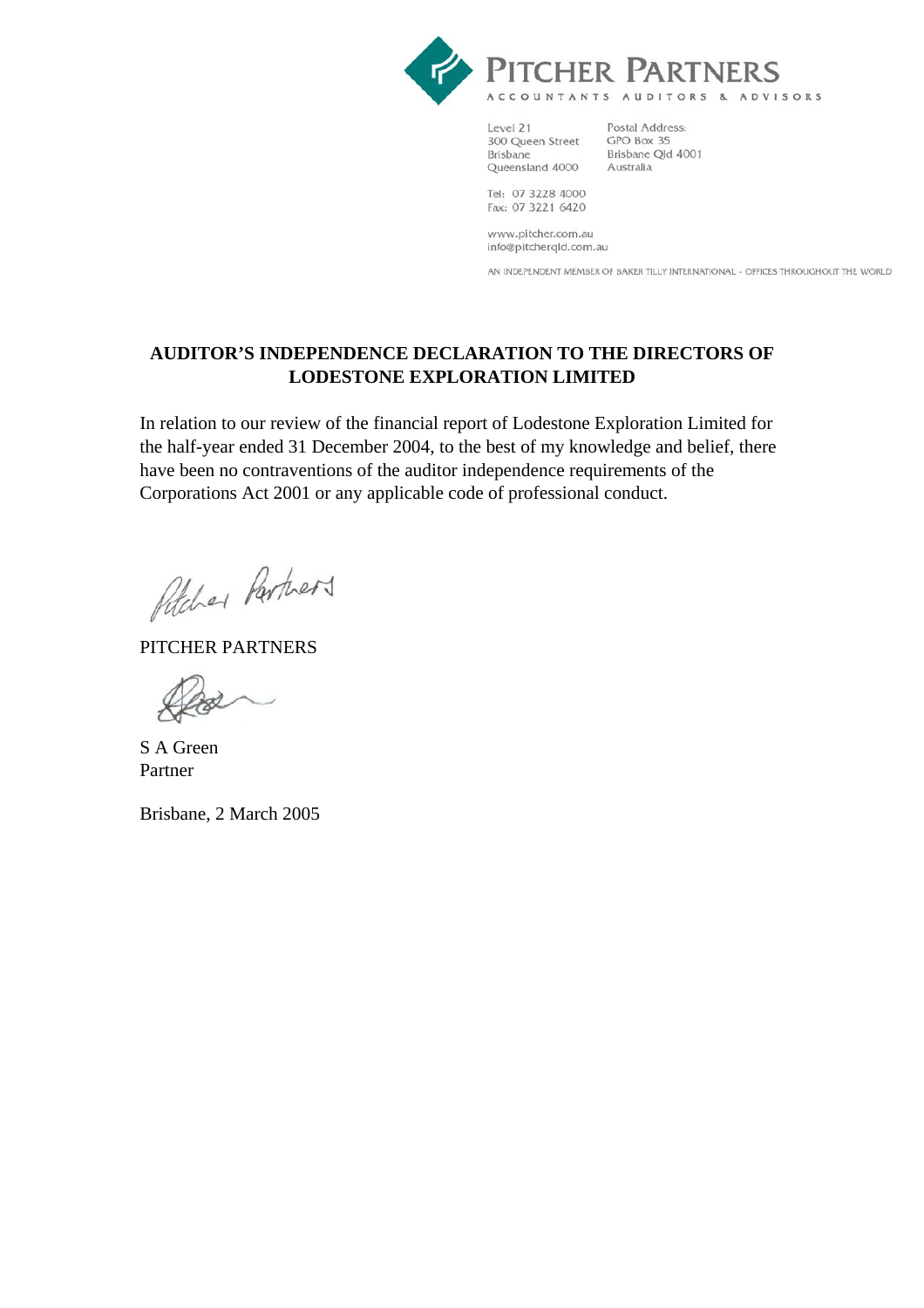

Level 21 300 Queen Street Brisbane Queensland 4000

Postal Address: GPO Box 35 Brisbane Qld 4001 Australia

Tel: 07 3228 4000 Fax: 07 3221 6420

www.pitcher.com.au info@pitcherqld.com.au

AN INDEPENDENT MEMBER OF BAKER TILLY INTERNATIONAL - OFFICES THROUGHOUT THE WORLD

# **AUDITOR'S INDEPENDENCE DECLARATION TO THE DIRECTORS OF LODESTONE EXPLORATION LIMITED**

In relation to our review of the financial report of Lodestone Exploration Limited for the half-year ended 31 December 2004, to the best of my knowledge and belief, there have been no contraventions of the auditor independence requirements of the Corporations Act 2001 or any applicable code of professional conduct.

Petcher Partners

PITCHER PARTNERS

S A Green Partner

Brisbane, 2 March 2005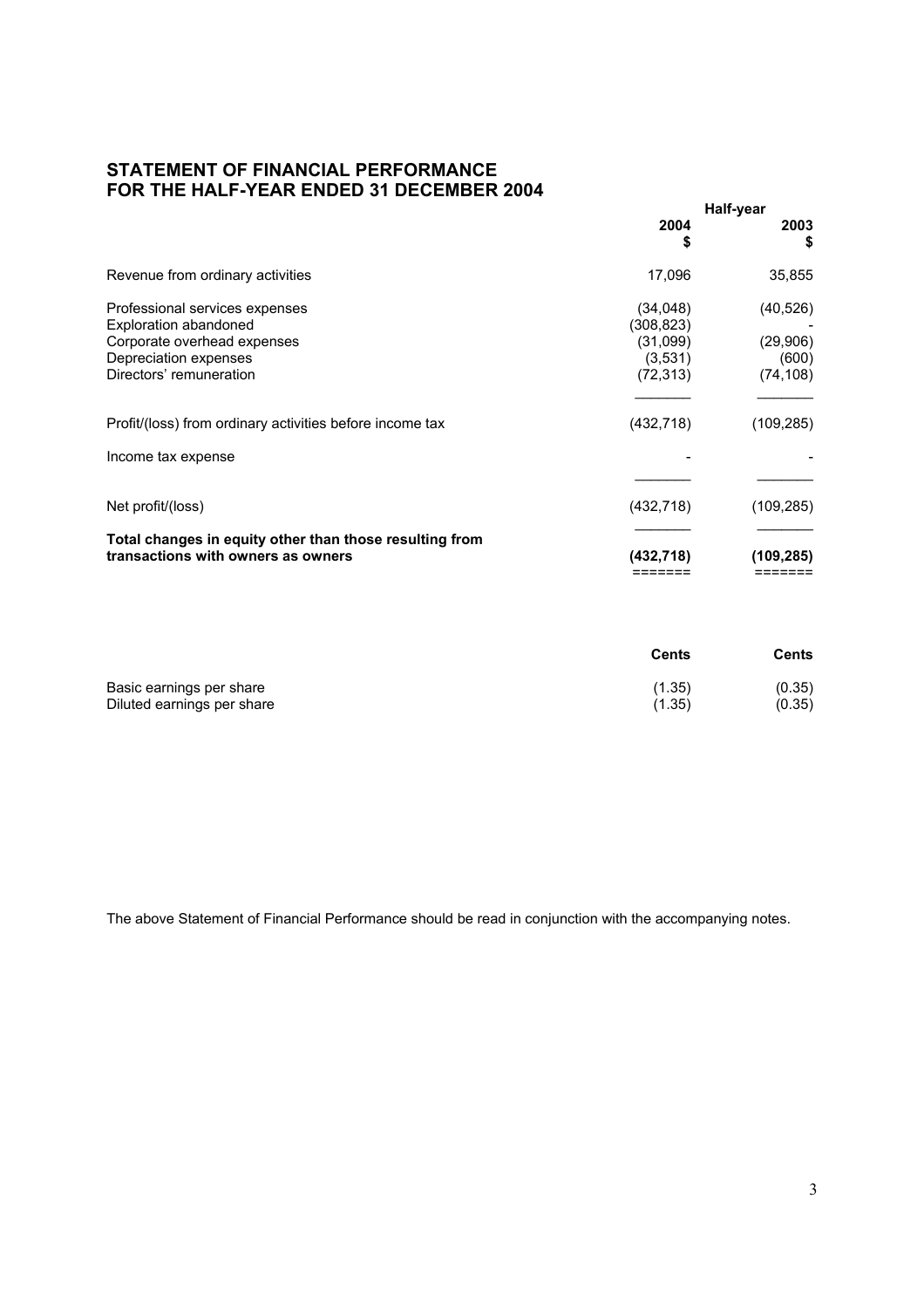# **STATEMENT OF FINANCIAL PERFORMANCE FOR THE HALF-YEAR ENDED 31 DECEMBER 2004**

|                                                                                                                                                   | Half-year                                                  |                                             |
|---------------------------------------------------------------------------------------------------------------------------------------------------|------------------------------------------------------------|---------------------------------------------|
|                                                                                                                                                   | 2004<br>5                                                  | 2003<br>\$                                  |
| Revenue from ordinary activities                                                                                                                  | 17,096                                                     | 35,855                                      |
| Professional services expenses<br><b>Exploration abandoned</b><br>Corporate overhead expenses<br>Depreciation expenses<br>Directors' remuneration | (34,048)<br>(308, 823)<br>(31,099)<br>(3,531)<br>(72, 313) | (40, 526)<br>(29,906)<br>(600)<br>(74, 108) |
| Profit/(loss) from ordinary activities before income tax                                                                                          | (432, 718)                                                 | (109, 285)                                  |
| Income tax expense                                                                                                                                |                                                            |                                             |
| Net profit/(loss)                                                                                                                                 | (432, 718)                                                 | (109,285)                                   |
| Total changes in equity other than those resulting from<br>transactions with owners as owners                                                     | (432, 718)                                                 | (109,285)                                   |

|                            | Cents  | Cents  |  |
|----------------------------|--------|--------|--|
| Basic earnings per share   | (1.35) | (0.35) |  |
| Diluted earnings per share | (1.35) | (0.35) |  |

The above Statement of Financial Performance should be read in conjunction with the accompanying notes.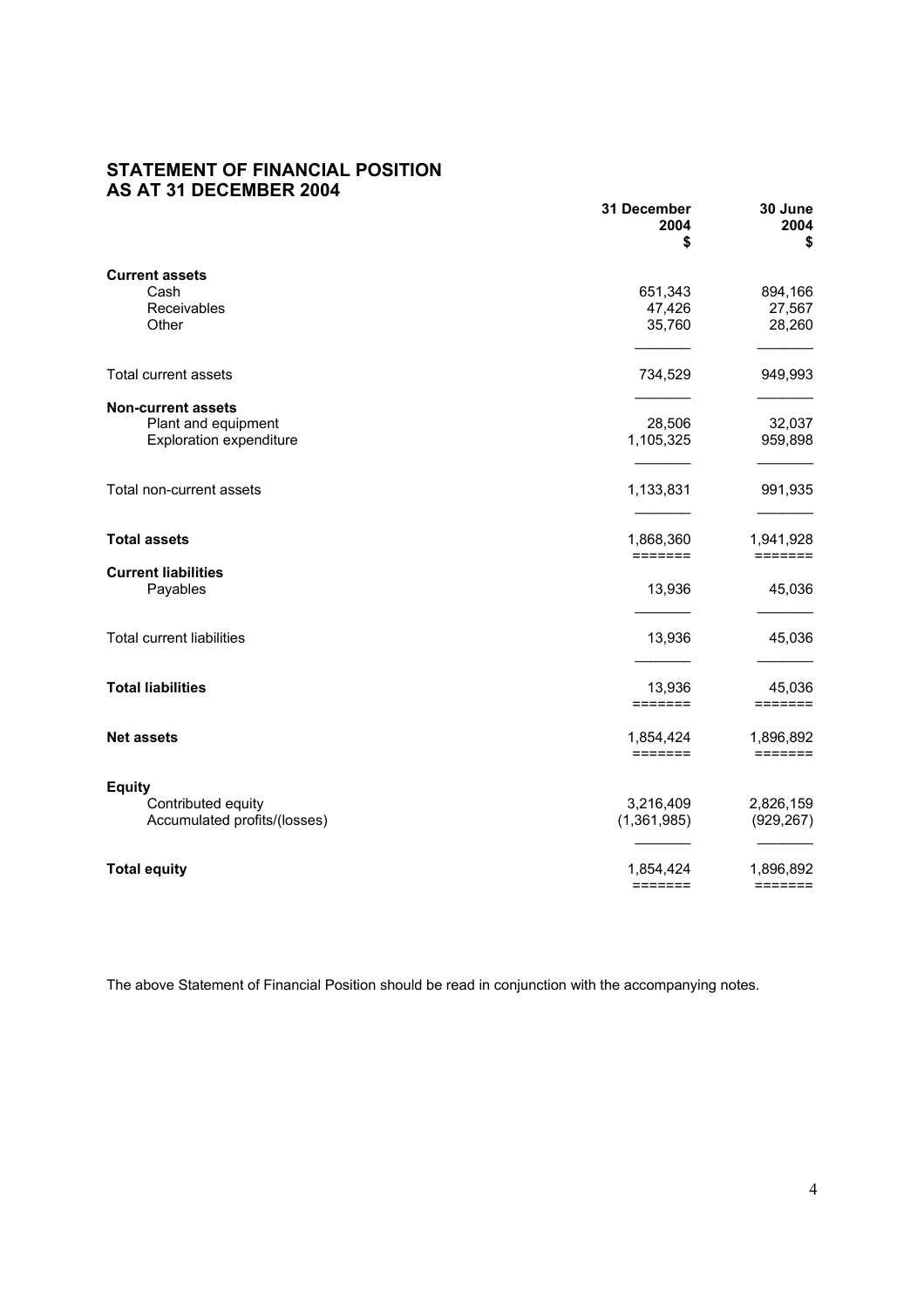# **STATEMENT OF FINANCIAL POSITION AS AT 31 DECEMBER 2004**

|                                                                                    | 31 December<br>2004<br>\$                | 30 June<br>2004<br>\$                |
|------------------------------------------------------------------------------------|------------------------------------------|--------------------------------------|
| <b>Current assets</b><br>Cash                                                      | 651,343                                  | 894,166                              |
| Receivables<br>Other                                                               | 47,426<br>35,760                         | 27,567<br>28,260                     |
| Total current assets                                                               | 734,529                                  | 949,993                              |
| <b>Non-current assets</b><br>Plant and equipment<br><b>Exploration expenditure</b> | 28,506<br>1,105,325                      | 32,037<br>959,898                    |
| Total non-current assets                                                           | 1,133,831                                | 991,935                              |
| <b>Total assets</b>                                                                | 1,868,360<br>$=$ $=$ $=$ $=$ $=$ $=$     | 1,941,928<br>$=$ $=$ $=$ $=$ $=$ $=$ |
| <b>Current liabilities</b><br>Payables                                             | 13,936                                   | 45,036                               |
| <b>Total current liabilities</b>                                                   | 13,936                                   | 45,036                               |
| <b>Total liabilities</b>                                                           | 13,936<br>=======                        | 45,036<br>=======                    |
| <b>Net assets</b>                                                                  | 1,854,424<br>$=$ $=$ $=$ $=$ $=$ $=$ $=$ | 1,896,892<br>=======                 |
| <b>Equity</b><br>Contributed equity<br>Accumulated profits/(losses)                | 3,216,409<br>(1,361,985)                 | 2,826,159<br>(929, 267)              |
| <b>Total equity</b>                                                                | 1,854,424                                | 1,896,892<br>$=$ $=$ $=$ $=$ $=$ $=$ |

The above Statement of Financial Position should be read in conjunction with the accompanying notes.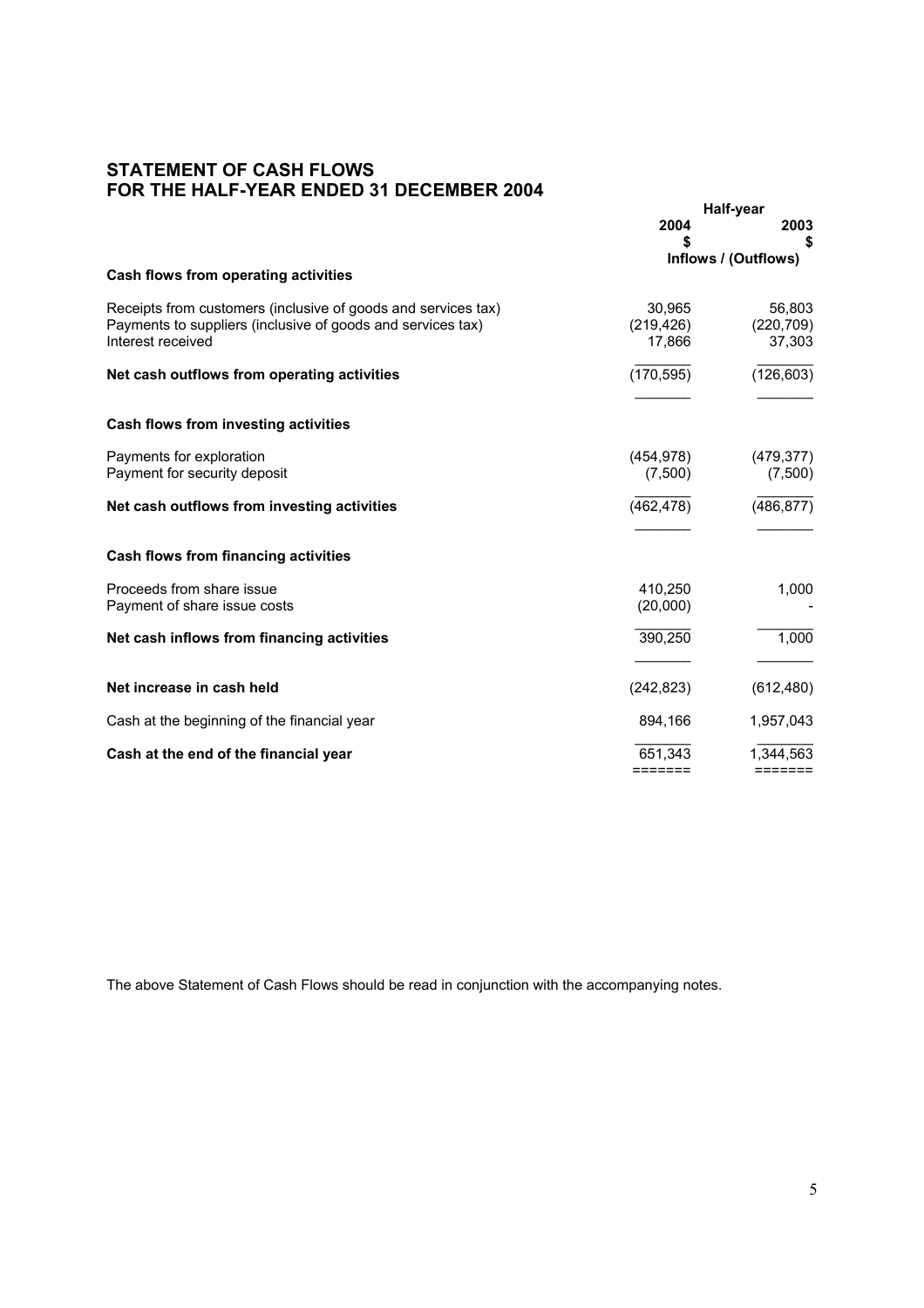# **STATEMENT OF CASH FLOWS FOR THE HALF-YEAR ENDED 31 DECEMBER 2004**

|                                                                                                                                                   | Half-year                          |                                |
|---------------------------------------------------------------------------------------------------------------------------------------------------|------------------------------------|--------------------------------|
|                                                                                                                                                   | 2004<br>S                          | 2003<br>S                      |
|                                                                                                                                                   | Inflows / (Outflows)               |                                |
| Cash flows from operating activities                                                                                                              |                                    |                                |
| Receipts from customers (inclusive of goods and services tax)<br>Payments to suppliers (inclusive of goods and services tax)<br>Interest received | 30,965<br>(219, 426)<br>17,866     | 56,803<br>(220, 709)<br>37,303 |
| Net cash outflows from operating activities                                                                                                       | (170, 595)                         | (126, 603)                     |
| Cash flows from investing activities                                                                                                              |                                    |                                |
| Payments for exploration<br>Payment for security deposit                                                                                          | (454,978)<br>(7,500)               | (479, 377)<br>(7,500)          |
| Net cash outflows from investing activities                                                                                                       | (462, 478)                         | (486, 877)                     |
| <b>Cash flows from financing activities</b>                                                                                                       |                                    |                                |
| Proceeds from share issue<br>Payment of share issue costs                                                                                         | 410.250<br>(20,000)                | 1,000                          |
| Net cash inflows from financing activities                                                                                                        | 390,250                            | 1,000                          |
| Net increase in cash held                                                                                                                         | (242, 823)                         | (612, 480)                     |
| Cash at the beginning of the financial year                                                                                                       | 894.166                            | 1,957,043                      |
| Cash at the end of the financial year                                                                                                             | 651,343<br>$=$ $=$ $=$ $=$ $=$ $=$ | 1.344.563<br>=======           |

The above Statement of Cash Flows should be read in conjunction with the accompanying notes.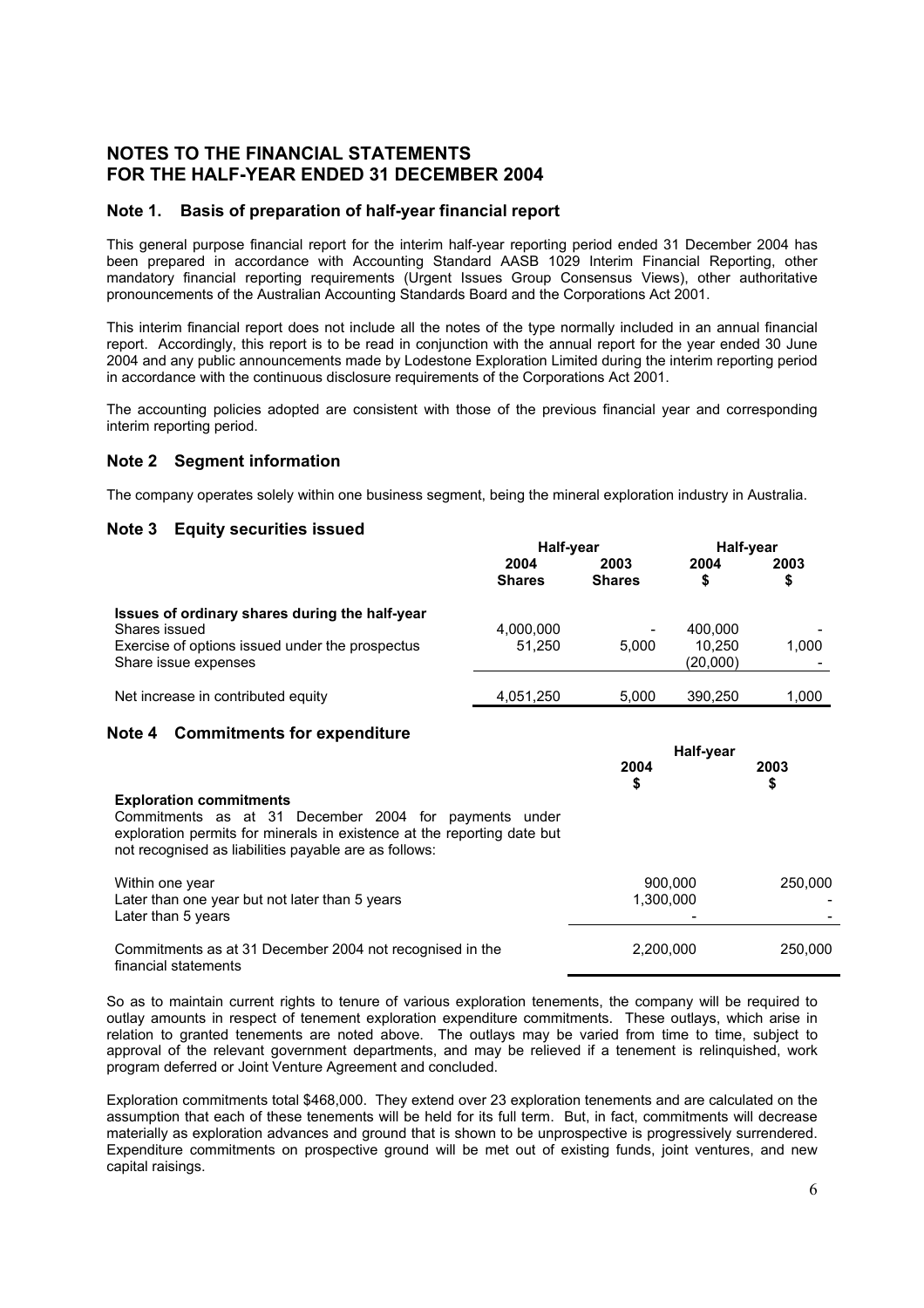# **NOTES TO THE FINANCIAL STATEMENTS FOR THE HALF-YEAR ENDED 31 DECEMBER 2004**

### **Note 1. Basis of preparation of half-year financial report**

This general purpose financial report for the interim half-year reporting period ended 31 December 2004 has been prepared in accordance with Accounting Standard AASB 1029 Interim Financial Reporting, other mandatory financial reporting requirements (Urgent Issues Group Consensus Views), other authoritative pronouncements of the Australian Accounting Standards Board and the Corporations Act 2001.

This interim financial report does not include all the notes of the type normally included in an annual financial report. Accordingly, this report is to be read in conjunction with the annual report for the year ended 30 June 2004 and any public announcements made by Lodestone Exploration Limited during the interim reporting period in accordance with the continuous disclosure requirements of the Corporations Act 2001.

The accounting policies adopted are consistent with those of the previous financial year and corresponding interim reporting period.

### **Note 2 Segment information**

The company operates solely within one business segment, being the mineral exploration industry in Australia.

### **Note 3 Equity securities issued**

|                                                 | Half-year             |                       | Half-year |            |
|-------------------------------------------------|-----------------------|-----------------------|-----------|------------|
|                                                 | 2004<br><b>Shares</b> | 2003<br><b>Shares</b> | 2004      | 2003<br>\$ |
| Issues of ordinary shares during the half-year  |                       |                       |           |            |
| Shares issued                                   | 4,000,000             | -                     | 400.000   |            |
| Exercise of options issued under the prospectus | 51.250                | 5.000                 | 10.250    | 1,000      |
| Share issue expenses                            |                       |                       | (20,000)  |            |
| Net increase in contributed equity              | 4.051.250             | 5.000                 | 390.250   | 1.000      |

#### **Note 4 Commitments for expenditure**

|                                                                                                                                                                                                                             | Half-year            |            |
|-----------------------------------------------------------------------------------------------------------------------------------------------------------------------------------------------------------------------------|----------------------|------------|
|                                                                                                                                                                                                                             | 2004<br>\$           | 2003<br>\$ |
| <b>Exploration commitments</b><br>Commitments as at 31 December 2004 for payments under<br>exploration permits for minerals in existence at the reporting date but<br>not recognised as liabilities payable are as follows: |                      |            |
| Within one year<br>Later than one year but not later than 5 years<br>Later than 5 years                                                                                                                                     | 900.000<br>1,300,000 | 250,000    |
| Commitments as at 31 December 2004 not recognised in the<br>financial statements                                                                                                                                            | 2,200,000            | 250,000    |

So as to maintain current rights to tenure of various exploration tenements, the company will be required to outlay amounts in respect of tenement exploration expenditure commitments. These outlays, which arise in relation to granted tenements are noted above. The outlays may be varied from time to time, subject to approval of the relevant government departments, and may be relieved if a tenement is relinquished, work program deferred or Joint Venture Agreement and concluded.

Exploration commitments total \$468,000. They extend over 23 exploration tenements and are calculated on the assumption that each of these tenements will be held for its full term. But, in fact, commitments will decrease materially as exploration advances and ground that is shown to be unprospective is progressively surrendered. Expenditure commitments on prospective ground will be met out of existing funds, joint ventures, and new capital raisings.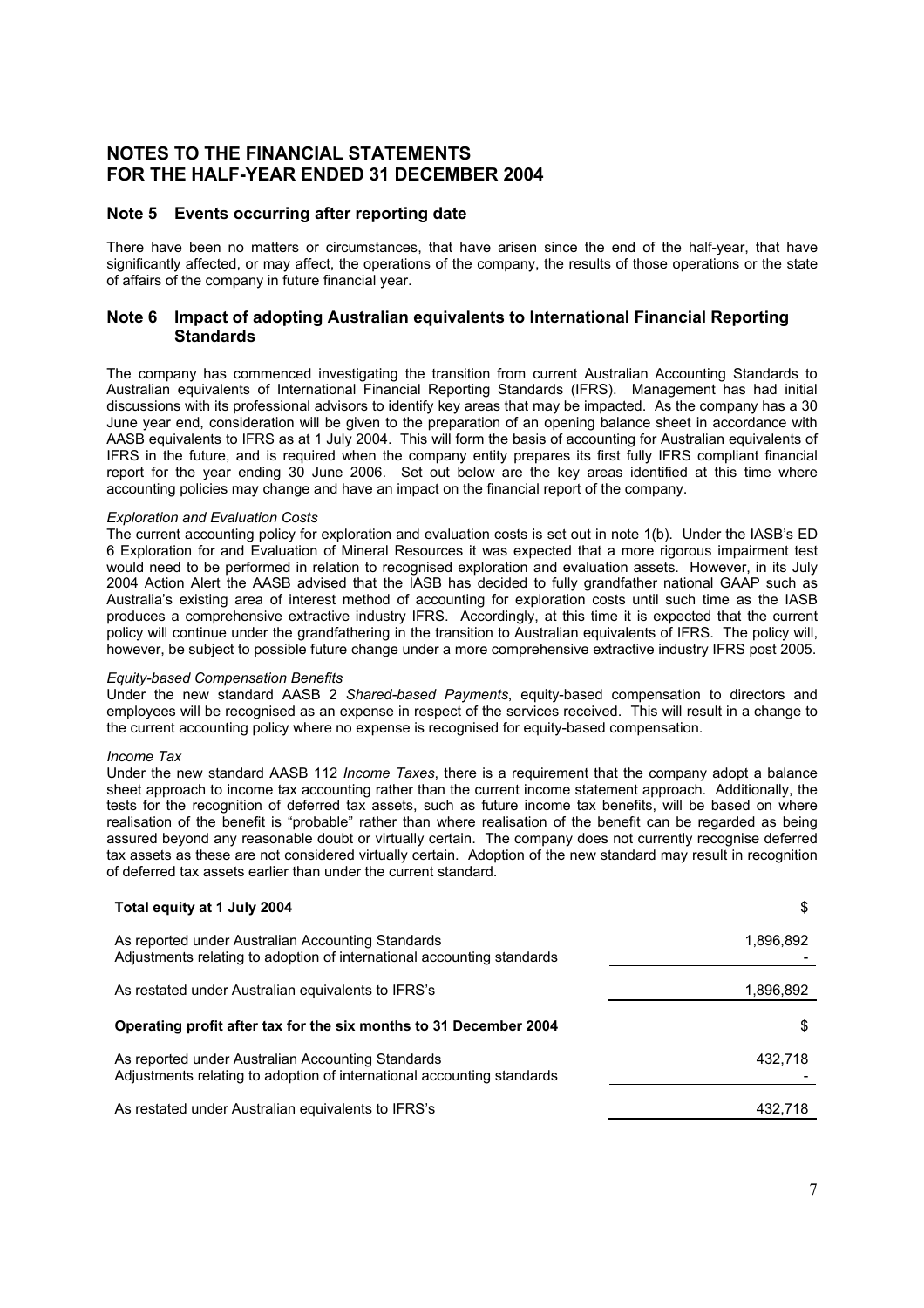# **NOTES TO THE FINANCIAL STATEMENTS FOR THE HALF-YEAR ENDED 31 DECEMBER 2004**

### **Note 5 Events occurring after reporting date**

There have been no matters or circumstances, that have arisen since the end of the half-year, that have significantly affected, or may affect, the operations of the company, the results of those operations or the state of affairs of the company in future financial year.

### **Note 6 Impact of adopting Australian equivalents to International Financial Reporting Standards**

The company has commenced investigating the transition from current Australian Accounting Standards to Australian equivalents of International Financial Reporting Standards (IFRS). Management has had initial discussions with its professional advisors to identify key areas that may be impacted. As the company has a 30 June year end, consideration will be given to the preparation of an opening balance sheet in accordance with AASB equivalents to IFRS as at 1 July 2004. This will form the basis of accounting for Australian equivalents of IFRS in the future, and is required when the company entity prepares its first fully IFRS compliant financial report for the year ending 30 June 2006. Set out below are the key areas identified at this time where accounting policies may change and have an impact on the financial report of the company.

#### *Exploration and Evaluation Costs*

The current accounting policy for exploration and evaluation costs is set out in note 1(b). Under the IASB's ED 6 Exploration for and Evaluation of Mineral Resources it was expected that a more rigorous impairment test would need to be performed in relation to recognised exploration and evaluation assets. However, in its July 2004 Action Alert the AASB advised that the IASB has decided to fully grandfather national GAAP such as Australia's existing area of interest method of accounting for exploration costs until such time as the IASB produces a comprehensive extractive industry IFRS. Accordingly, at this time it is expected that the current policy will continue under the grandfathering in the transition to Australian equivalents of IFRS. The policy will, however, be subject to possible future change under a more comprehensive extractive industry IFRS post 2005.

#### *Equity-based Compensation Benefits*

Under the new standard AASB 2 *Shared-based Payments*, equity-based compensation to directors and employees will be recognised as an expense in respect of the services received. This will result in a change to the current accounting policy where no expense is recognised for equity-based compensation.

#### *Income Tax*

Under the new standard AASB 112 *Income Taxes*, there is a requirement that the company adopt a balance sheet approach to income tax accounting rather than the current income statement approach. Additionally, the tests for the recognition of deferred tax assets, such as future income tax benefits, will be based on where realisation of the benefit is "probable" rather than where realisation of the benefit can be regarded as being assured beyond any reasonable doubt or virtually certain. The company does not currently recognise deferred tax assets as these are not considered virtually certain. Adoption of the new standard may result in recognition of deferred tax assets earlier than under the current standard.

| Total equity at 1 July 2004                                                                                                 | \$        |
|-----------------------------------------------------------------------------------------------------------------------------|-----------|
| As reported under Australian Accounting Standards<br>Adjustments relating to adoption of international accounting standards | 1,896,892 |
| As restated under Australian equivalents to IFRS's                                                                          | 1,896,892 |
| Operating profit after tax for the six months to 31 December 2004                                                           | S         |
| As reported under Australian Accounting Standards<br>Adjustments relating to adoption of international accounting standards | 432.718   |
| As restated under Australian equivalents to IFRS's                                                                          | 432,718   |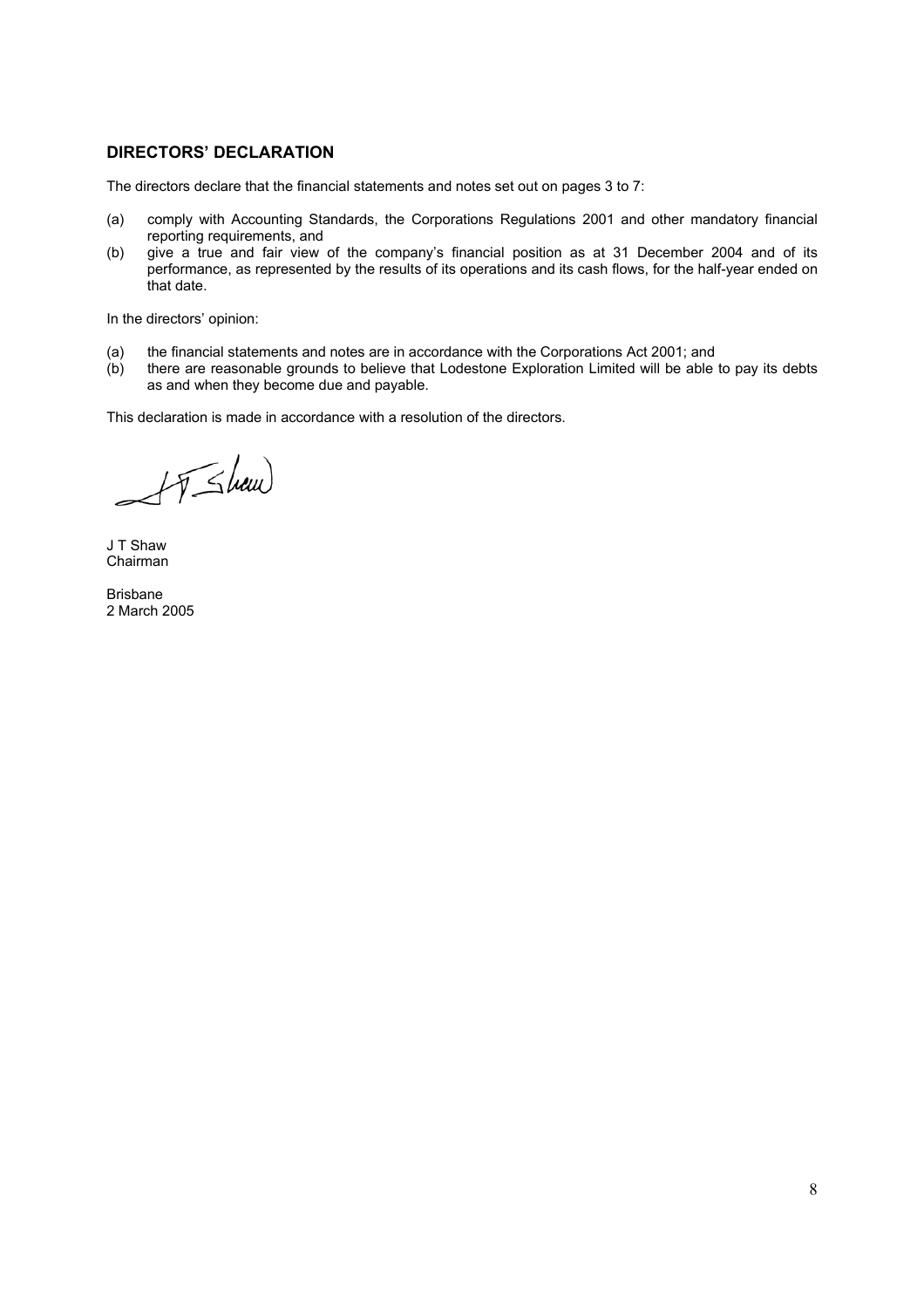### **DIRECTORS' DECLARATION**

The directors declare that the financial statements and notes set out on pages 3 to 7:

- (a) comply with Accounting Standards, the Corporations Regulations 2001 and other mandatory financial reporting requirements, and
- (b) give a true and fair view of the company's financial position as at 31 December 2004 and of its performance, as represented by the results of its operations and its cash flows, for the half-year ended on that date.

In the directors' opinion:

- (a) the financial statements and notes are in accordance with the Corporations Act 2001; and
- (b) there are reasonable grounds to believe that Lodestone Exploration Limited will be able to pay its debts as and when they become due and payable.

This declaration is made in accordance with a resolution of the directors.

AT Show

J T Shaw Chairman

Brisbane 2 March 2005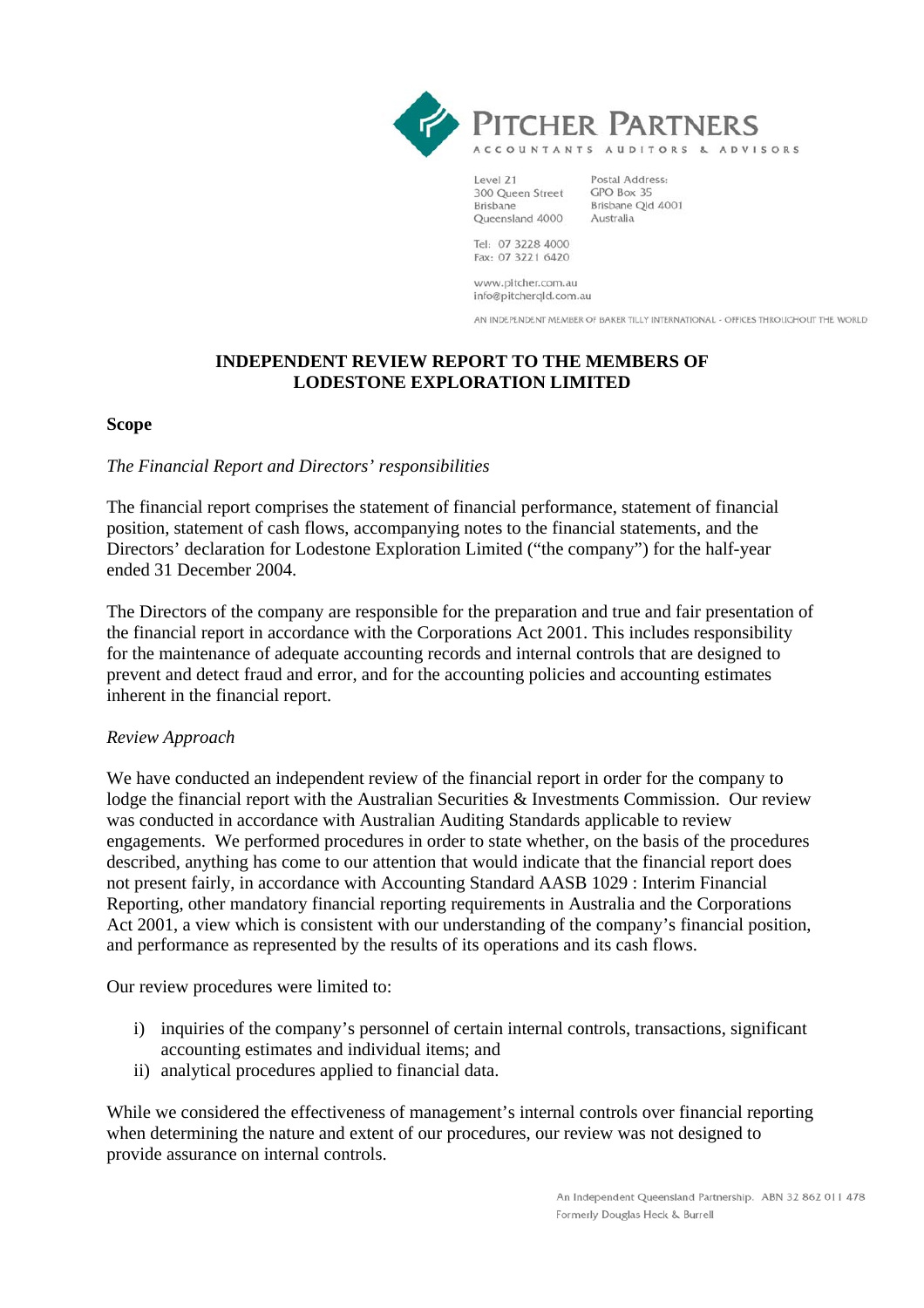



ACCOUNTANTS AUDITORS & ADVISORS

Level 21 300 Queen Street **Brisbane** Queensland 4000

Postal Address: GPO Box 35 Brisbane Qld 4001 Australia

Tel: 07 3228 4000 Fax: 07 3221 6420

www.pitcher.com.au info@pitcherqld.com.au

AN INDEPENDENT MEMBER OF BAKER TILLY INTERNATIONAL - OFFICES THROUGHOUT THE WORLD

# **INDEPENDENT REVIEW REPORT TO THE MEMBERS OF LODESTONE EXPLORATION LIMITED**

### **Scope**

### *The Financial Report and Directors' responsibilities*

The financial report comprises the statement of financial performance, statement of financial position, statement of cash flows, accompanying notes to the financial statements, and the Directors' declaration for Lodestone Exploration Limited ("the company") for the half-year ended 31 December 2004.

The Directors of the company are responsible for the preparation and true and fair presentation of the financial report in accordance with the Corporations Act 2001. This includes responsibility for the maintenance of adequate accounting records and internal controls that are designed to prevent and detect fraud and error, and for the accounting policies and accounting estimates inherent in the financial report.

### *Review Approach*

We have conducted an independent review of the financial report in order for the company to lodge the financial report with the Australian Securities & Investments Commission. Our review was conducted in accordance with Australian Auditing Standards applicable to review engagements. We performed procedures in order to state whether, on the basis of the procedures described, anything has come to our attention that would indicate that the financial report does not present fairly, in accordance with Accounting Standard AASB 1029 : Interim Financial Reporting, other mandatory financial reporting requirements in Australia and the Corporations Act 2001, a view which is consistent with our understanding of the company's financial position, and performance as represented by the results of its operations and its cash flows.

Our review procedures were limited to:

- i) inquiries of the company's personnel of certain internal controls, transactions, significant accounting estimates and individual items; and
- ii) analytical procedures applied to financial data.

While we considered the effectiveness of management's internal controls over financial reporting when determining the nature and extent of our procedures, our review was not designed to provide assurance on internal controls.